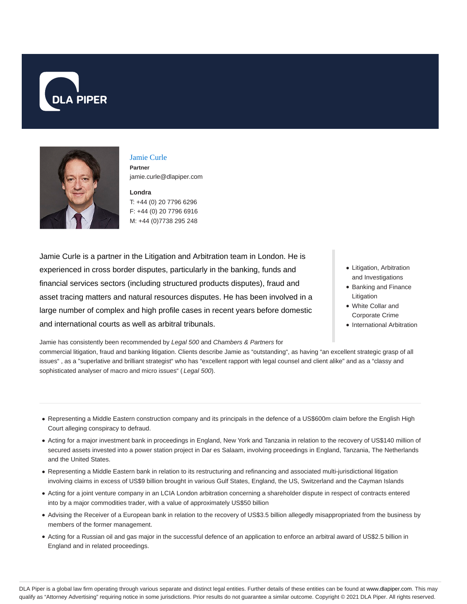



# Jamie Curle

**Partner** jamie.curle@dlapiper.com

**Londra** T: +44 (0) 20 7796 6296 F: +44 (0) 20 7796 6916 M: +44 (0)7738 295 248

Jamie Curle is a partner in the Litigation and Arbitration team in London. He is experienced in cross border disputes, particularly in the banking, funds and financial services sectors (including structured products disputes), fraud and asset tracing matters and natural resources disputes. He has been involved in a large number of complex and high profile cases in recent years before domestic and international courts as well as arbitral tribunals.

- Litigation, Arbitration and Investigations
- Banking and Finance Litigation
- White Collar and Corporate Crime
- International Arbitration

Jamie has consistently been recommended by Legal 500 and Chambers & Partners for commercial litigation, fraud and banking litigation. Clients describe Jamie as "outstanding", as having "an excellent strategic grasp of all issues" , as a "superlative and brilliant strategist" who has "excellent rapport with legal counsel and client alike" and as a "classy and sophisticated analyser of macro and micro issues" (Legal 500).

- Representing a Middle Eastern construction company and its principals in the defence of a US\$600m claim before the English High Court alleging conspiracy to defraud.
- Acting for a major investment bank in proceedings in England, New York and Tanzania in relation to the recovery of US\$140 million of secured assets invested into a power station project in Dar es Salaam, involving proceedings in England, Tanzania, The Netherlands and the United States.
- Representing a Middle Eastern bank in relation to its restructuring and refinancing and associated multi-jurisdictional litigation involving claims in excess of US\$9 billion brought in various Gulf States, England, the US, Switzerland and the Cayman Islands
- Acting for a joint venture company in an LCIA London arbitration concerning a shareholder dispute in respect of contracts entered into by a major commodities trader, with a value of approximately US\$50 billion
- Advising the Receiver of a European bank in relation to the recovery of US\$3.5 billion allegedly misappropriated from the business by members of the former management.
- Acting for a Russian oil and gas major in the successful defence of an application to enforce an arbitral award of US\$2.5 billion in England and in related proceedings.

DLA Piper is a global law firm operating through various separate and distinct legal entities. Further details of these entities can be found at www.dlapiper.com. This may qualify as "Attorney Advertising" requiring notice in some jurisdictions. Prior results do not guarantee a similar outcome. Copyright © 2021 DLA Piper. All rights reserved.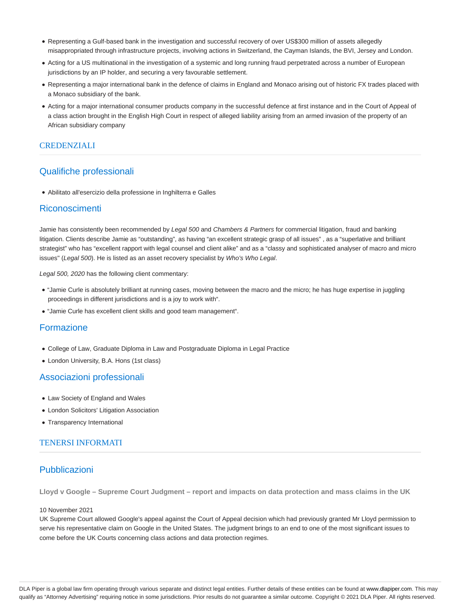- Representing a Gulf-based bank in the investigation and successful recovery of over US\$300 million of assets allegedly misappropriated through infrastructure projects, involving actions in Switzerland, the Cayman Islands, the BVI, Jersey and London.
- Acting for a US multinational in the investigation of a systemic and long running fraud perpetrated across a number of European jurisdictions by an IP holder, and securing a very favourable settlement.
- Representing a major international bank in the defence of claims in England and Monaco arising out of historic FX trades placed with a Monaco subsidiary of the bank.
- Acting for a major international consumer products company in the successful defence at first instance and in the Court of Appeal of a class action brought in the English High Court in respect of alleged liability arising from an armed invasion of the property of an African subsidiary company

### **CREDENZIALI**

# Qualifiche professionali

Abilitato all'esercizio della professione in Inghilterra e Galles

### Riconoscimenti

Jamie has consistently been recommended by Legal 500 and Chambers & Partners for commercial litigation, fraud and banking litigation. Clients describe Jamie as "outstanding", as having "an excellent strategic grasp of all issues" , as a "superlative and brilliant strategist" who has "excellent rapport with legal counsel and client alike" and as a "classy and sophisticated analyser of macro and micro issues" (Legal 500). He is listed as an asset recovery specialist by Who's Who Legal.

Legal 500, 2020 has the following client commentary:

- "Jamie Curle is absolutely brilliant at running cases, moving between the macro and the micro; he has huge expertise in juggling proceedings in different jurisdictions and is a joy to work with".
- "Jamie Curle has excellent client skills and good team management".

### Formazione

- College of Law, Graduate Diploma in Law and Postgraduate Diploma in Legal Practice
- London University, B.A. Hons (1st class)

### Associazioni professionali

- Law Society of England and Wales
- London Solicitors' Litigation Association
- Transparency International

### TENERSI INFORMATI

### Pubblicazioni

**Lloyd v Google – Supreme Court Judgment – report and impacts on data protection and mass claims in the UK**

#### 10 November 2021

UK Supreme Court allowed Google's appeal against the Court of Appeal decision which had previously granted Mr Lloyd permission to serve his representative claim on Google in the United States. The judgment brings to an end to one of the most significant issues to come before the UK Courts concerning class actions and data protection regimes.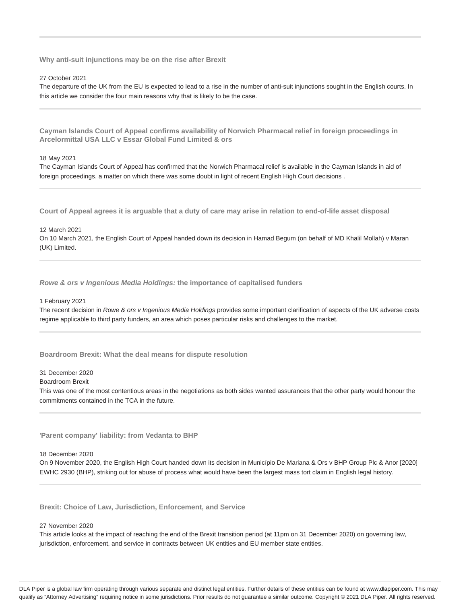**Why anti-suit injunctions may be on the rise after Brexit**

#### 27 October 2021

The departure of the UK from the EU is expected to lead to a rise in the number of anti-suit injunctions sought in the English courts. In this article we consider the four main reasons why that is likely to be the case.

**Cayman Islands Court of Appeal confirms availability of Norwich Pharmacal relief in foreign proceedings in Arcelormittal USA LLC v Essar Global Fund Limited & ors**

#### 18 May 2021

The Cayman Islands Court of Appeal has confirmed that the Norwich Pharmacal relief is available in the Cayman Islands in aid of foreign proceedings, a matter on which there was some doubt in light of recent English High Court decisions .

**Court of Appeal agrees it is arguable that a duty of care may arise in relation to end-of-life asset disposal**

12 March 2021

On 10 March 2021, the English Court of Appeal handed down its decision in Hamad Begum (on behalf of MD Khalil Mollah) v Maran (UK) Limited.

**Rowe & ors v Ingenious Media Holdings: the importance of capitalised funders**

1 February 2021

The recent decision in Rowe & ors v Ingenious Media Holdings provides some important clarification of aspects of the UK adverse costs regime applicable to third party funders, an area which poses particular risks and challenges to the market.

**Boardroom Brexit: What the deal means for dispute resolution**

31 December 2020

#### Boardroom Brexit

This was one of the most contentious areas in the negotiations as both sides wanted assurances that the other party would honour the commitments contained in the TCA in the future.

**'Parent company' liability: from Vedanta to BHP**

18 December 2020

On 9 November 2020, the English High Court handed down its decision in Município De Mariana & Ors v BHP Group Plc & Anor [2020] EWHC 2930 (BHP), striking out for abuse of process what would have been the largest mass tort claim in English legal history.

**Brexit: Choice of Law, Jurisdiction, Enforcement, and Service**

#### 27 November 2020

This article looks at the impact of reaching the end of the Brexit transition period (at 11pm on 31 December 2020) on governing law, jurisdiction, enforcement, and service in contracts between UK entities and EU member state entities.

DLA Piper is a global law firm operating through various separate and distinct legal entities. Further details of these entities can be found at www.dlapiper.com. This may qualify as "Attorney Advertising" requiring notice in some jurisdictions. Prior results do not guarantee a similar outcome. Copyright @ 2021 DLA Piper. All rights reserved.